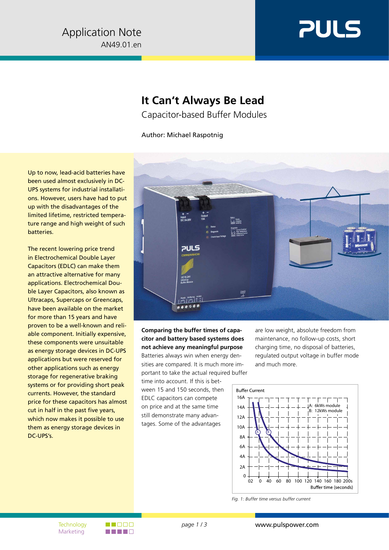

## **It Can't Always Be Lead**

Capacitor-based Buffer Modules

Author: Michael Raspotnig

Up to now, lead-acid batteries have been used almost exclusively in DC-UPS systems for industrial installations. However, users have had to put up with the disadvantages of the limited lifetime, restricted temperature range and high weight of such batteries.

The recent lowering price trend in Electrochemical Double Layer Capacitors (EDLC) can make them an attractive alternative for many applications. Electrochemical Double Layer Capacitors, also known as Ultracaps, Supercaps or Greencaps, have been available on the market for more than 15 years and have proven to be a well-known and reliable component. Initially expensive, these components were unsuitable as energy storage devices in DC-UPS applications but were reserved for other applications such as energy storage for regenerative braking systems or for providing short peak currents. However, the standard price for these capacitors has almost cut in half in the past five years, which now makes it possible to use them as energy storage devices in DC-UPS's.



**Comparing the buffer times of capacitor and battery based systems does not achieve any meaningful purpose** Batteries always win when energy densities are compared. It is much more im-

portant to take the actual required buffer time into account. If this is between 15 and 150 seconds, then EDLC capacitors can compete on price and at the same time still demonstrate many advantages. Some of the advantages

are low weight, absolute freedom from maintenance, no follow-up costs, short charging time, no disposal of batteries, regulated output voltage in buffer mode and much more.



*Fig. 1: Buffer time versus buffer current*

Marketing

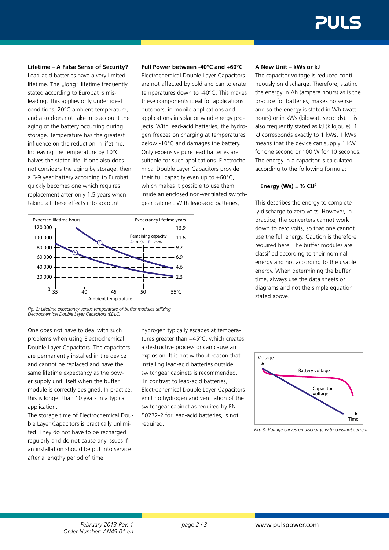**Lifetime – A False Sense of Security?**

Lead-acid batteries have a very limited lifetime. The "long" lifetime frequently stated according to Eurobat is misleading. This applies only under ideal conditions, 20°C ambient temperature, and also does not take into account the aging of the battery occurring during storage. Temperature has the greatest influence on the reduction in lifetime. Increasing the temperature by 10°C halves the stated life. If one also does not considers the aging by storage, then a 6-9 year battery according to Eurobat quickly becomes one which requires replacement after only 1.5 years when taking all these effects into account.



Electrochemical Double Layer Capacitors are not affected by cold and can tolerate temperatures down to -40°C. This makes these components ideal for applications outdoors, in mobile applications and applications in solar or wind energy projects. With lead-acid batteries, the hydrogen freezes on charging at temperatures below -10°C and damages the battery. Only expensive pure lead batteries are suitable for such applications. Electrochemical Double Layer Capacitors provide their full capacity even up to +60°C, which makes it possible to use them inside an enclosed non-ventilated switchgear cabinet. With lead-acid batteries,



*Fig. 2: Lifetime expectancy versus temperature of buffer modules utilizing Electrochemical Double Layer Capacitors (EDLC)*

One does not have to deal with such problems when using Electrochemical Double Layer Capacitors. The capacitors are permanently installed in the device and cannot be replaced and have the same lifetime expectancy as the power supply unit itself when the buffer module is correctly designed. In practice, this is longer than 10 years in a typical application.

The storage time of Electrochemical Double Layer Capacitors is practically unlimited. They do not have to be recharged regularly and do not cause any issues if an installation should be put into service after a lengthy period of time.

hydrogen typically escapes at temperatures greater than +45°C, which creates a destructive process or can cause an explosion. It is not without reason that installing lead-acid batteries outside switchgear cabinets is recommended. In contrast to lead-acid batteries, Electrochemical Double Layer Capacitors emit no hydrogen and ventilation of the switchgear cabinet as required by EN 50272-2 for lead-acid batteries, is not required.

## **A New Unit – kWs or kJ**

The capacitor voltage is reduced continuously on discharge. Therefore, stating the energy in Ah (ampere hours) as is the practice for batteries, makes no sense and so the energy is stated in Wh (watt hours) or in kWs (kilowatt seconds). It is also frequently stated as kJ (kilojoule). 1 kJ corresponds exactly to 1 kWs. 1 kWs means that the device can supply 1 kW for one second or 100 W for 10 seconds. The energy in a capacitor is calculated according to the following formula:

## **Energy (Ws) = ½ CU2**

This describes the energy to completely discharge to zero volts. However, in practice, the converters cannot work down to zero volts, so that one cannot use the full energy. Caution is therefore required here: The buffer modules are classified according to their nominal energy and not according to the usable energy. When determining the buffer time, always use the data sheets or diagrams and not the simple equation stated above.



*Fig. 3: Voltage curves on discharge with constant current*